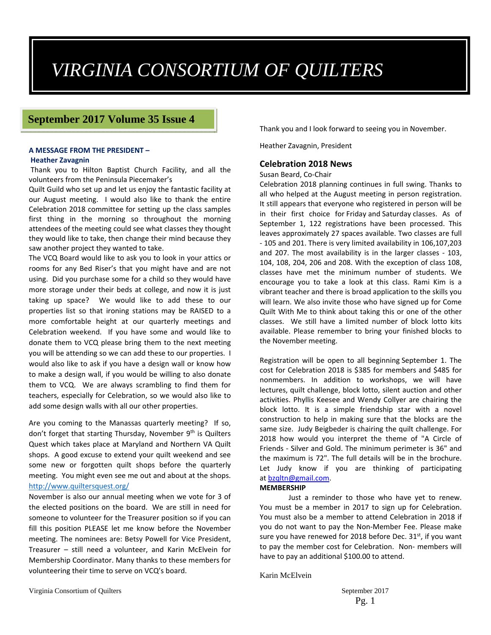# *VIRGINIA CONSORTIUM OF QUILTERS*

#### **September 2017 Volume 35 Issue 4**

## **A MESSAGE FROM THE PRESIDENT –**

#### **Heather Zavagnin**

Thank you to Hilton Baptist Church Facility, and all the volunteers from the Peninsula Piecemaker's

Quilt Guild who set up and let us enjoy the fantastic facility at our August meeting. I would also like to thank the entire Celebration 2018 committee for setting up the class samples first thing in the morning so throughout the morning attendees of the meeting could see what classes they thought they would like to take, then change their mind because they saw another project they wanted to take.

The VCQ Board would like to ask you to look in your attics or rooms for any Bed Riser's that you might have and are not using. Did you purchase some for a child so they would have more storage under their beds at college, and now it is just taking up space? We would like to add these to our properties list so that ironing stations may be RAISED to a more comfortable height at our quarterly meetings and Celebration weekend. If you have some and would like to donate them to VCQ please bring them to the next meeting you will be attending so we can add these to our properties. I would also like to ask if you have a design wall or know how to make a design wall, if you would be willing to also donate them to VCQ. We are always scrambling to find them for teachers, especially for Celebration, so we would also like to add some design walls with all our other properties.

Are you coming to the Manassas quarterly meeting? If so, don't forget that starting Thursday, November 9<sup>th</sup> is Quilters Quest which takes place at Maryland and Northern VA Quilt shops. A good excuse to extend your quilt weekend and see some new or forgotten quilt shops before the quarterly meeting. You might even see me out and about at the shops. http://www.quiltersquest.org/

November is also our annual meeting when we vote for 3 of the elected positions on the board. We are still in need for someone to volunteer for the Treasurer position so if you can fill this position PLEASE let me know before the November meeting. The nominees are: Betsy Powell for Vice President, Treasurer – still need a volunteer, and Karin McElvein for Membership Coordinator. Many thanks to these members for volunteering their time to serve on VCQ's board.

Thank you and I look forward to seeing you in November.

Heather Zavagnin, President

#### **Celebration 2018 News**

Susan Beard, Co‐Chair

Celebration 2018 planning continues in full swing. Thanks to all who helped at the August meeting in person registration. It still appears that everyone who registered in person will be in their first choice for Friday and Saturday classes. As of September 1, 122 registrations have been processed. This leaves approximately 27 spaces available. Two classes are full ‐ 105 and 201. There is very limited availability in 106,107,203 and 207. The most availability is in the larger classes - 103, 104, 108, 204, 206 and 208. With the exception of class 108, classes have met the minimum number of students. We encourage you to take a look at this class. Rami Kim is a vibrant teacher and there is broad application to the skills you will learn. We also invite those who have signed up for Come Quilt With Me to think about taking this or one of the other classes. We still have a limited number of block lotto kits available. Please remember to bring your finished blocks to the November meeting.

Registration will be open to all beginning September 1. The cost for Celebration 2018 is \$385 for members and \$485 for nonmembers. In addition to workshops, we will have lectures, quilt challenge, block lotto, silent auction and other activities. Phyllis Keesee and Wendy Collyer are chairing the block lotto. It is a simple friendship star with a novel construction to help in making sure that the blocks are the same size. Judy Beigbeder is chairing the quilt challenge. For 2018 how would you interpret the theme of "A Circle of Friends ‐ Silver and Gold. The minimum perimeter is 36" and the maximum is 72". The full details will be in the brochure. Let Judy know if you are thinking of participating at bzqltn@gmail.com.

#### **MEMBERSHIP**

Just a reminder to those who have yet to renew. You must be a member in 2017 to sign up for Celebration. You must also be a member to attend Celebration in 2018 if you do not want to pay the Non‐Member Fee. Please make sure you have renewed for 2018 before Dec.  $31<sup>st</sup>$ , if you want to pay the member cost for Celebration. Non‐ members will have to pay an additional \$100.00 to attend.

Karin McElvein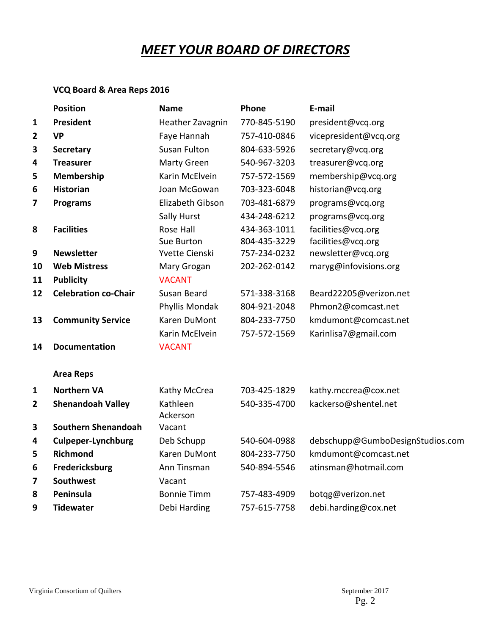# *MEET YOUR BOARD OF DIRECTORS*

# **VCQ Board & Area Reps 2016**

|                | <b>Position</b>             | <b>Name</b>          | Phone        | E-mail                           |
|----------------|-----------------------------|----------------------|--------------|----------------------------------|
| $\mathbf{1}$   | President                   | Heather Zavagnin     | 770-845-5190 | president@vcq.org                |
| 2              | <b>VP</b>                   | Faye Hannah          | 757-410-0846 | vicepresident@vcq.org            |
| 3              | <b>Secretary</b>            | <b>Susan Fulton</b>  | 804-633-5926 | secretary@vcq.org                |
| 4              | <b>Treasurer</b>            | Marty Green          | 540-967-3203 | treasurer@vcq.org                |
| 5              | <b>Membership</b>           | Karin McElvein       | 757-572-1569 | membership@vcq.org               |
| 6              | <b>Historian</b>            | Joan McGowan         | 703-323-6048 | historian@vcq.org                |
| 7              | <b>Programs</b>             | Elizabeth Gibson     | 703-481-6879 | programs@vcq.org                 |
|                |                             | Sally Hurst          | 434-248-6212 | programs@vcq.org                 |
| 8              | <b>Facilities</b>           | <b>Rose Hall</b>     | 434-363-1011 | facilities@vcq.org               |
|                |                             | Sue Burton           | 804-435-3229 | facilities@vcq.org               |
| 9              | <b>Newsletter</b>           | Yvette Cienski       | 757-234-0232 | newsletter@vcq.org               |
| 10             | <b>Web Mistress</b>         | Mary Grogan          | 202-262-0142 | maryg@infovisions.org            |
| 11             | <b>Publicity</b>            | <b>VACANT</b>        |              |                                  |
| 12             | <b>Celebration co-Chair</b> | Susan Beard          | 571-338-3168 | Beard22205@verizon.net           |
|                |                             | Phyllis Mondak       | 804-921-2048 | Phmon2@comcast.net               |
| 13             | <b>Community Service</b>    | Karen DuMont         | 804-233-7750 | kmdumont@comcast.net             |
|                |                             | Karin McElvein       | 757-572-1569 | Karinlisa7@gmail.com             |
| 14             | <b>Documentation</b>        | <b>VACANT</b>        |              |                                  |
|                | <b>Area Reps</b>            |                      |              |                                  |
| $\mathbf{1}$   | <b>Northern VA</b>          | Kathy McCrea         | 703-425-1829 | kathy.mccrea@cox.net             |
| $\overline{2}$ | <b>Shenandoah Valley</b>    | Kathleen<br>Ackerson | 540-335-4700 | kackerso@shentel.net             |
| 3              | <b>Southern Shenandoah</b>  | Vacant               |              |                                  |
| 4              | <b>Culpeper-Lynchburg</b>   | Deb Schupp           | 540-604-0988 | debschupp@GumboDesignStudios.com |
| 5              | Richmond                    | Karen DuMont         | 804-233-7750 | kmdumont@comcast.net             |
| 6              | Fredericksburg              | Ann Tinsman          | 540-894-5546 | atinsman@hotmail.com             |
| 7              | Southwest                   | Vacant               |              |                                  |
| 8              | Peninsula                   | <b>Bonnie Timm</b>   | 757-483-4909 | botqg@verizon.net                |
| 9              | <b>Tidewater</b>            | Debi Harding         | 757-615-7758 | debi.harding@cox.net             |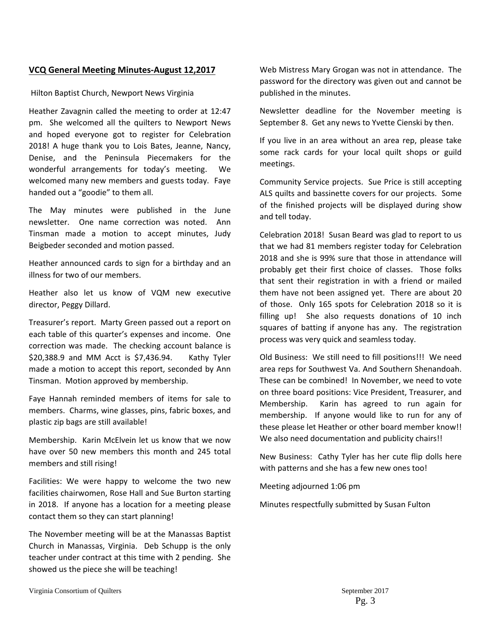#### **VCQ General Meeting Minutes‐August 12,2017**

#### Hilton Baptist Church, Newport News Virginia

Heather Zavagnin called the meeting to order at 12:47 pm. She welcomed all the quilters to Newport News and hoped everyone got to register for Celebration 2018! A huge thank you to Lois Bates, Jeanne, Nancy, Denise, and the Peninsula Piecemakers for the wonderful arrangements for today's meeting. We welcomed many new members and guests today. Faye handed out a "goodie" to them all.

The May minutes were published in the June newsletter. One name correction was noted. Ann Tinsman made a motion to accept minutes, Judy Beigbeder seconded and motion passed.

Heather announced cards to sign for a birthday and an illness for two of our members.

Heather also let us know of VQM new executive director, Peggy Dillard.

Treasurer's report. Marty Green passed out a report on each table of this quarter's expenses and income. One correction was made. The checking account balance is \$20,388.9 and MM Acct is \$7,436.94. Kathy Tyler made a motion to accept this report, seconded by Ann Tinsman. Motion approved by membership.

Faye Hannah reminded members of items for sale to members. Charms, wine glasses, pins, fabric boxes, and plastic zip bags are still available!

Membership. Karin McElvein let us know that we now have over 50 new members this month and 245 total members and still rising!

Facilities: We were happy to welcome the two new facilities chairwomen, Rose Hall and Sue Burton starting in 2018. If anyone has a location for a meeting please contact them so they can start planning!

The November meeting will be at the Manassas Baptist Church in Manassas, Virginia. Deb Schupp is the only teacher under contract at this time with 2 pending. She showed us the piece she will be teaching!

Web Mistress Mary Grogan was not in attendance. The password for the directory was given out and cannot be published in the minutes.

Newsletter deadline for the November meeting is September 8. Get any news to Yvette Cienski by then.

If you live in an area without an area rep, please take some rack cards for your local quilt shops or guild meetings.

Community Service projects. Sue Price is still accepting ALS quilts and bassinette covers for our projects. Some of the finished projects will be displayed during show and tell today.

Celebration 2018! Susan Beard was glad to report to us that we had 81 members register today for Celebration 2018 and she is 99% sure that those in attendance will probably get their first choice of classes. Those folks that sent their registration in with a friend or mailed them have not been assigned yet. There are about 20 of those. Only 165 spots for Celebration 2018 so it is filling up! She also requests donations of 10 inch squares of batting if anyone has any. The registration process was very quick and seamless today.

Old Business: We still need to fill positions!!! We need area reps for Southwest Va. And Southern Shenandoah. These can be combined! In November, we need to vote on three board positions: Vice President, Treasurer, and Membership. Karin has agreed to run again for membership. If anyone would like to run for any of these please let Heather or other board member know!! We also need documentation and publicity chairs!!

New Business: Cathy Tyler has her cute flip dolls here with patterns and she has a few new ones too!

Meeting adjourned 1:06 pm

Minutes respectfully submitted by Susan Fulton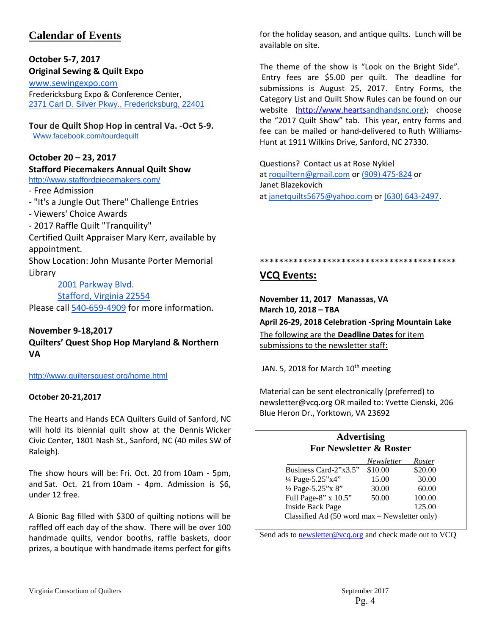# **Calendar of Events**

#### **October 5‐7, 2017 Original Sewing & Quilt Expo**

www.sewingexpo.com Fredericksburg Expo & Conference Center, 2371 Carl D. Silver Pkwy., Fredericksburg, 22401

#### **Tour de Quilt Shop Hop in central Va. ‐Oct 5‐9.** Www.facebook.com/tourdequilt

#### **October 20 – 23, 2017**

#### **Stafford Piecemakers Annual Quilt Show**

http://www.staffordpiecemakers.com/

‐ Free Admission

- ‐ "It's a Jungle Out There" Challenge Entries
- ‐ Viewers' Choice Awards
- ‐ 2017 Raffle Quilt "Tranquility"

Certified Quilt Appraiser Mary Kerr, available by appointment.

Show Location: John Musante Porter Memorial Library

2001 Parkway Blvd.

Stafford, Virginia 22554

Please call 540‐659‐4909 for more information.

#### **November 9‐18,2017**

**Quilters' Quest Shop Hop Maryland & Northern VA**

http://www.quiltersquest.org/home.html

#### **October 20‐21,2017**

The Hearts and Hands ECA Quilters Guild of Sanford, NC will hold its biennial quilt show at the Dennis Wicker Civic Center, 1801 Nash St., Sanford, NC (40 miles SW of Raleigh).

The show hours will be: Fri. Oct. 20 from 10am ‐ 5pm, and Sat. Oct. 21 from 10am - 4pm. Admission is \$6, under 12 free.

A Bionic Bag filled with \$300 of quilting notions will be raffled off each day of the show. There will be over 100 handmade quilts, vendor booths, raffle baskets, door prizes, a boutique with handmade items perfect for gifts

for the holiday season, and antique quilts. Lunch will be available on site.

The theme of the show is "Look on the Bright Side". Entry fees are \$5.00 per quilt. The deadline for submissions is August 25, 2017. Entry Forms, the Category List and Quilt Show Rules can be found on our website (http://www.heartsandhandsnc.org); choose the "2017 Quilt Show" tab. This year, entry forms and fee can be mailed or hand‐delivered to Ruth Williams‐ Hunt at 1911 Wilkins Drive, Sanford, NC 27330.

Questions? Contact us at Rose Nykiel at roquiltern@gmail.com or (909) 475‐824 or Janet Blazekovich at janetquilts5675@yahoo.com or (630) 643‐2497.

\*\*\*\*\*\*\*\*\*\*\*\*\*\*\*\*\*\*\*\*\*\*\*\*\*\*\*\*\*\*\*\*\*\*\*\*\*\*\*\*\*

#### **VCQ Events:**

**November 11, 2017 Manassas, VA March 10, 2018 – TBA**

**April 26‐29, 2018 Celebration ‐Spring Mountain Lake**

The following are the **Deadline Dates** for item submissions to the newsletter staff:

JAN. 5, 2018 for March  $10^{th}$  meeting

Material can be sent electronically (preferred) to newsletter@vcq.org OR mailed to: Yvette Cienski, 206 Blue Heron Dr., Yorktown, VA 23692

#### **Advertising For Newsletter & Roster**

|                                               | Newsletter | Roster  |
|-----------------------------------------------|------------|---------|
| Business Card-2"x3.5"                         | \$10.00    | \$20.00 |
| 1/4 Page-5.25"x4"                             | 15.00      | 30.00   |
| 1/2 Page-5.25"x 8"                            | 30.00      | 60.00   |
| Full Page-8" x 10.5"                          | 50.00      | 100.00  |
| <b>Inside Back Page</b>                       |            | 125.00  |
| Classified Ad (50 word max - Newsletter only) |            |         |

Send ads to newsletter@vcq.org and check made out to VCQ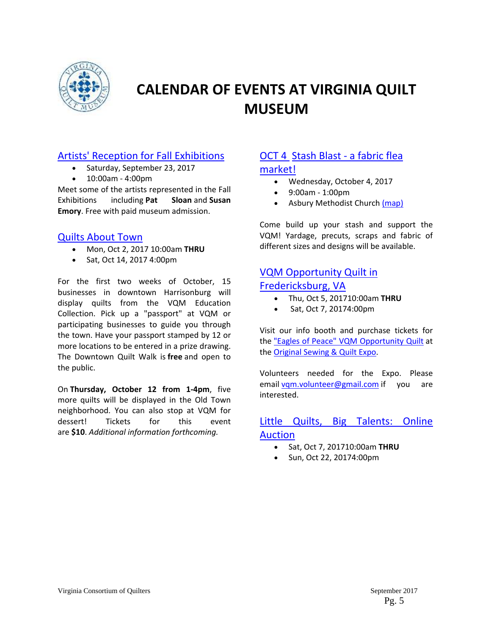

# **CALENDAR OF EVENTS AT VIRGINIA QUILT MUSEUM**

## Artists' Reception for Fall Exhibitions

- Saturday, September 23, 2017
- 10:00am ‐ 4:00pm

Meet some of the artists represented in the Fall Exhibitions including **Pat Sloan** and **Susan Emory**. Free with paid museum admission.

#### Quilts About Town

- Mon, Oct 2, 2017 10:00am **THRU**
- Sat, Oct 14, 2017 4:00pm

For the first two weeks of October, 15 businesses in downtown Harrisonburg will display quilts from the VQM Education Collection. Pick up a "passport" at VQM or participating businesses to guide you through the town. Have your passport stamped by 12 or more locations to be entered in a prize drawing. The Downtown Quilt Walk is **free** and open to the public.

On **Thursday, October 12 from 1‐4pm**, five more quilts will be displayed in the Old Town neighborhood. You can also stop at VQM for dessert! Tickets for this event are **\$10**. *Additional information forthcoming.*

# OCT 4 Stash Blast ‐ a fabric flea

#### market!

- Wednesday, October 4, 2017
- 9:00am ‐ 1:00pm
- Asbury Methodist Church (map)

Come build up your stash and support the VQM! Yardage, precuts, scraps and fabric of different sizes and designs will be available.

# VQM Opportunity Quilt in Fredericksburg, VA

- Thu, Oct 5, 201710:00am **THRU**
- Sat, Oct 7, 20174:00pm

Visit our info booth and purchase tickets for the "Eagles of Peace" VQM Opportunity Quilt at the **Original Sewing & Quilt Expo.** 

Volunteers needed for the Expo. Please email vqm.volunteer@gmail.com if you are interested.

## Little Quilts, Big Talents: Online Auction

- Sat, Oct 7, 201710:00am **THRU**
- Sun, Oct 22, 20174:00pm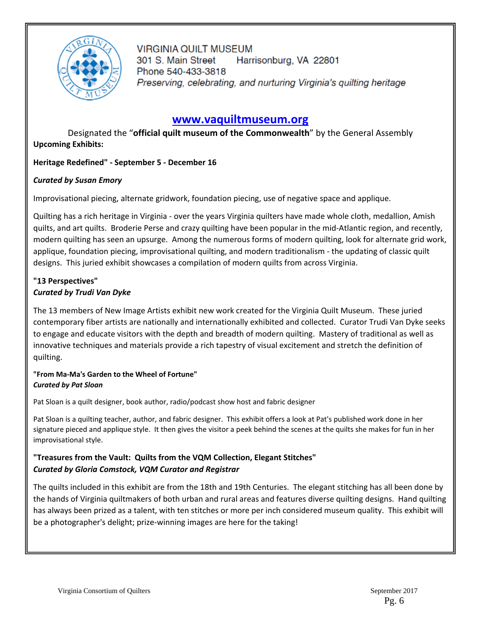

**VIRGINIA QUILT MUSEUM** 301 S. Main Street Harrisonburg, VA 22801 Phone 540-433-3818 Preserving, celebrating, and nurturing Virginia's quilting heritage

# **www.vaquiltmuseum.org**

Designated the "**official quilt museum of the Commonwealth**" by the General Assembly **Upcoming Exhibits:**

#### **Heritage Redefined" ‐ September 5 ‐ December 16**

#### *Curated by Susan Emory*

Improvisational piecing, alternate gridwork, foundation piecing, use of negative space and applique.

Quilting has a rich heritage in Virginia ‐ over the years Virginia quilters have made whole cloth, medallion, Amish quilts, and art quilts. Broderie Perse and crazy quilting have been popular in the mid‐Atlantic region, and recently, modern quilting has seen an upsurge. Among the numerous forms of modern quilting, look for alternate grid work, applique, foundation piecing, improvisational quilting, and modern traditionalism ‐ the updating of classic quilt designs. This juried exhibit showcases a compilation of modern quilts from across Virginia.

#### **"13 Perspectives"** *Curated by Trudi Van Dyke*

The 13 members of New Image Artists exhibit new work created for the Virginia Quilt Museum. These juried contemporary fiber artists are nationally and internationally exhibited and collected. Curator Trudi Van Dyke seeks to engage and educate visitors with the depth and breadth of modern quilting. Mastery of traditional as well as innovative techniques and materials provide a rich tapestry of visual excitement and stretch the definition of quilting.

#### **"From Ma‐Ma's Garden to the Wheel of Fortune"** *Curated by Pat Sloan*

Pat Sloan is a quilt designer, book author, radio/podcast show host and fabric designer

Pat Sloan is a quilting teacher, author, and fabric designer. This exhibit offers a look at Pat's published work done in her signature pieced and applique style. It then gives the visitor a peek behind the scenes at the quilts she makes for fun in her improvisational style.

#### **"Treasures from the Vault: Quilts from the VQM Collection, Elegant Stitches"** *Curated by Gloria Comstock, VQM Curator and Registrar*

The quilts included in this exhibit are from the 18th and 19th Centuries. The elegant stitching has all been done by the hands of Virginia quiltmakers of both urban and rural areas and features diverse quilting designs. Hand quilting has always been prized as a talent, with ten stitches or more per inch considered museum quality. This exhibit will be a photographer's delight; prize-winning images are here for the taking!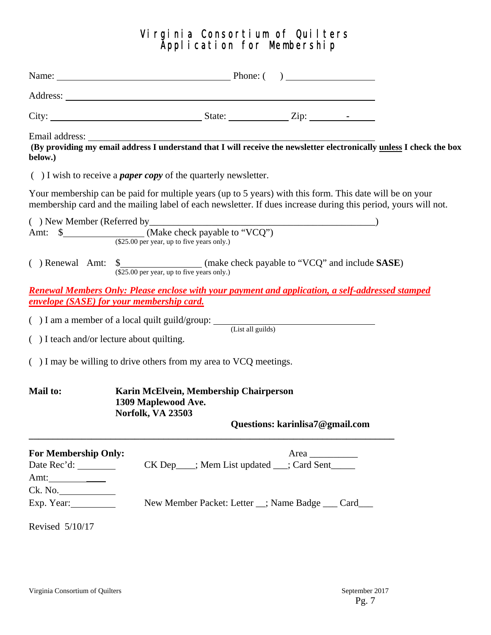# Virginia Consortium of Quilters Application for Membership

| below.)                                                                  |                                                                                                                                                                                                                            |
|--------------------------------------------------------------------------|----------------------------------------------------------------------------------------------------------------------------------------------------------------------------------------------------------------------------|
|                                                                          | $( )$ I wish to receive a <i>paper copy</i> of the quarterly newsletter.                                                                                                                                                   |
|                                                                          | Your membership can be paid for multiple years (up to 5 years) with this form. This date will be on your<br>membership card and the mailing label of each newsletter. If dues increase during this period, yours will not. |
|                                                                          | Amt: $\frac{\text{Make check payable to "VCQ"}}{(\$25.00 \text{ per year, up to five years only.})}$                                                                                                                       |
|                                                                          | $(\$25.00$ per year, up to five years only.)                                                                                                                                                                               |
|                                                                          | <u><b>Renewal Members Only: Please enclose with your payment and application, a self-addressed stamped</b></u><br><b>envelope (SASE) for your membership card.</b>                                                         |
|                                                                          | $( ) I$ am a member of a local quilt guild/group: $($ List all guilds)                                                                                                                                                     |
| $( )$ I teach and/or lecture about quilting.                             |                                                                                                                                                                                                                            |
|                                                                          | () I may be willing to drive others from my area to VCQ meetings.                                                                                                                                                          |
| <b>Mail to:</b>                                                          | Karin McElvein, Membership Chairperson<br>1309 Maplewood Ave.<br>Norfolk, VA 23503                                                                                                                                         |
|                                                                          | Questions: karinlisa7@gmail.com                                                                                                                                                                                            |
| <b>For Membership Only:</b><br>Amt: ___________<br>Ck. No.<br>Exp. Year: | Area<br>CK Dep___; Mem List updated __; Card Sent_____<br>New Member Packet: Letter _; Name Badge __ Card__                                                                                                                |
| Revised 5/10/17                                                          |                                                                                                                                                                                                                            |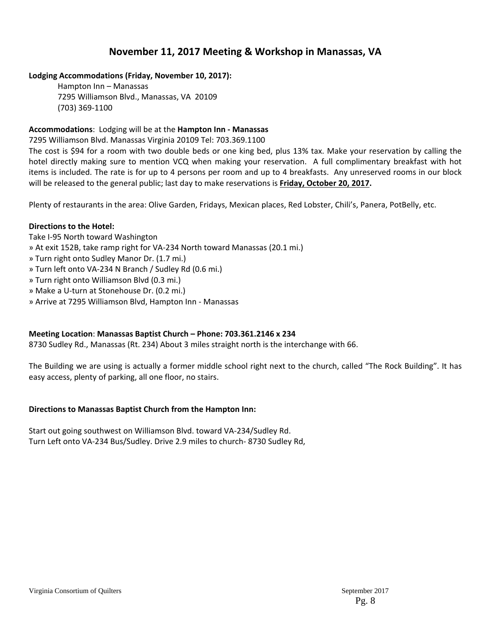## **November 11, 2017 Meeting & Workshop in Manassas, VA**

#### **Lodging Accommodations (Friday, November 10, 2017):**

Hampton Inn – Manassas 7295 Williamson Blvd., Manassas, VA 20109 (703) 369‐1100

#### **Accommodations**: Lodging will be at the **Hampton Inn ‐ Manassas**

7295 Williamson Blvd. Manassas Virginia 20109 Tel: 703.369.1100

The cost is \$94 for a room with two double beds or one king bed, plus 13% tax. Make your reservation by calling the hotel directly making sure to mention VCQ when making your reservation. A full complimentary breakfast with hot items is included. The rate is for up to 4 persons per room and up to 4 breakfasts. Any unreserved rooms in our block will be released to the general public; last day to make reservations is **Friday, October 20, 2017.**

Plenty of restaurants in the area: Olive Garden, Fridays, Mexican places, Red Lobster, Chili's, Panera, PotBelly, etc.

#### **Directions to the Hotel:**

- Take I‐95 North toward Washington
- » At exit 152B, take ramp right for VA‐234 North toward Manassas (20.1 mi.)
- » Turn right onto Sudley Manor Dr. (1.7 mi.)
- » Turn left onto VA‐234 N Branch / Sudley Rd (0.6 mi.)
- » Turn right onto Williamson Blvd (0.3 mi.)
- » Make a U‐turn at Stonehouse Dr. (0.2 mi.)
- » Arrive at 7295 Williamson Blvd, Hampton Inn ‐ Manassas

#### **Meeting Location**: **Manassas Baptist Church – Phone: 703.361.2146 x 234**

8730 Sudley Rd., Manassas (Rt. 234) About 3 miles straight north is the interchange with 66.

The Building we are using is actually a former middle school right next to the church, called "The Rock Building". It has easy access, plenty of parking, all one floor, no stairs.

#### **Directions to Manassas Baptist Church from the Hampton Inn:**

Start out going southwest on Williamson Blvd. toward VA‐234/Sudley Rd. Turn Left onto VA‐234 Bus/Sudley. Drive 2.9 miles to church‐ 8730 Sudley Rd,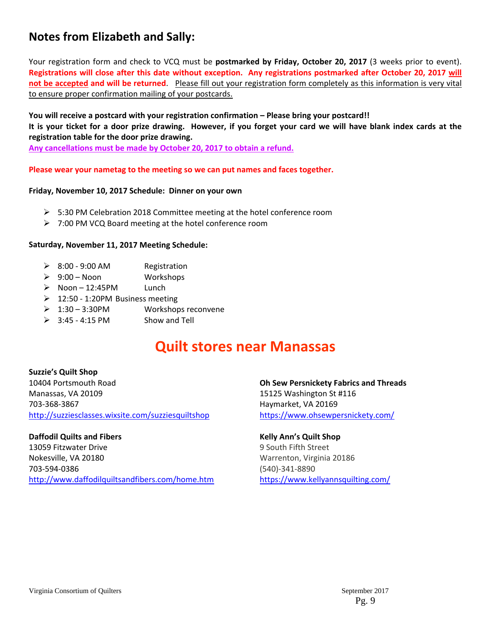# **Notes from Elizabeth and Sally:**

Your registration form and check to VCQ must be **postmarked by Friday, October 20, 2017** (3 weeks prior to event). Registrations will close after this date without exception. Any registrations postmarked after October 20, 2017 will **not be accepted and will be returned**. Please fill out your registration form completely as this information is very vital to ensure proper confirmation mailing of your postcards.

**You will receive a postcard with your registration confirmation – Please bring your postcard!!**  It is your ticket for a door prize drawing. However, if you forget your card we will have blank index cards at the **registration table for the door prize drawing.** 

**Any cancellations must be made by October 20, 2017 to obtain a refund.**

#### **Please wear your nametag to the meeting so we can put names and faces together.**

#### **Friday, November 10, 2017 Schedule: Dinner on your own**

- $\triangleright$  5:30 PM Celebration 2018 Committee meeting at the hotel conference room
- $\geq$  7:00 PM VCQ Board meeting at the hotel conference room

#### **Saturday, November 11, 2017 Meeting Schedule:**

- $\geq 8:00 9:00$  AM Registration
- $\geqslant$  9:00 Noon Workshops
- $\triangleright$  Noon 12:45PM Lunch
- $\geq 12:50 1:20$ PM Business meeting
- 1:30 3:30PM Workshops reconvene
- $\geq$  3:45 4:15 PM Show and Tell

# **Quilt stores near Manassas**

#### **Suzzie's Quilt Shop** 10404 Portsmouth Road Manassas, VA 20109 703‐368‐3867 http://suzziesclasses.wixsite.com/suzziesquiltshop

#### **Daffodil Quilts and Fibers**

13059 Fitzwater Drive Nokesville, VA 20180 703‐594‐0386 http://www.daffodilquiltsandfibers.com/home.htm **Oh Sew Persnickety Fabrics and Threads** 15125 Washington St #116 Haymarket, VA 20169 https://www.ohsewpersnickety.com/

#### **Kelly Ann's Quilt Shop**

9 South Fifth Street Warrenton, Virginia 20186 (540)‐341‐8890 https://www.kellyannsquilting.com/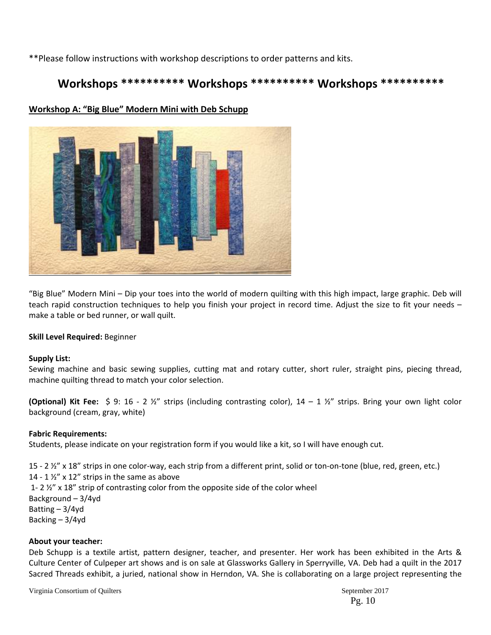\*\*Please follow instructions with workshop descriptions to order patterns and kits.

# **Workshops \*\*\*\*\*\*\*\*\*\* Workshops \*\*\*\*\*\*\*\*\*\* Workshops \*\*\*\*\*\*\*\*\*\***



#### **Workshop A: "Big Blue" Modern Mini with Deb Schupp**

"Big Blue" Modern Mini – Dip your toes into the world of modern quilting with this high impact, large graphic. Deb will teach rapid construction techniques to help you finish your project in record time. Adjust the size to fit your needs – make a table or bed runner, or wall quilt.

#### **Skill Level Required:** Beginner

#### **Supply List:**

Sewing machine and basic sewing supplies, cutting mat and rotary cutter, short ruler, straight pins, piecing thread, machine quilting thread to match your color selection.

**(Optional) Kit Fee:** \$ 9: 16 ‐ 2 ½" strips (including contrasting color), 14 – 1 ½" strips. Bring your own light color background (cream, gray, white)

#### **Fabric Requirements:**

Students, please indicate on your registration form if you would like a kit, so I will have enough cut.

15 - 2 ½" x 18" strips in one color-way, each strip from a different print, solid or ton-on-tone (blue, red, green, etc.) 14 - 1 $\frac{1}{2}$ " x 12" strips in the same as above 1- 2  $\frac{1}{2}$  x 18" strip of contrasting color from the opposite side of the color wheel Background – 3/4yd Batting – 3/4yd Backing – 3/4yd

#### **About your teacher:**

Deb Schupp is a textile artist, pattern designer, teacher, and presenter. Her work has been exhibited in the Arts & Culture Center of Culpeper art shows and is on sale at Glassworks Gallery in Sperryville, VA. Deb had a quilt in the 2017 Sacred Threads exhibit, a juried, national show in Herndon, VA. She is collaborating on a large project representing the

Virginia Consortium of Quilters  $\sim$  2017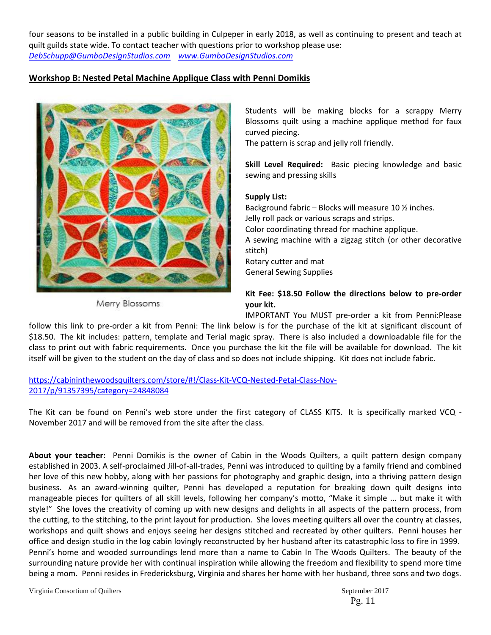four seasons to be installed in a public building in Culpeper in early 2018, as well as continuing to present and teach at quilt guilds state wide. To contact teacher with questions prior to workshop please use: *DebSchupp@GumboDesignStudios.com www.GumboDesignStudios.com*

#### **Workshop B: Nested Petal Machine Applique Class with Penni Domikis**



Merry Blossoms

Students will be making blocks for a scrappy Merry Blossoms quilt using a machine applique method for faux curved piecing.

The pattern is scrap and jelly roll friendly.

**Skill Level Required:**  Basic piecing knowledge and basic sewing and pressing skills

#### **Supply List:**

Background fabric – Blocks will measure 10 ½ inches. Jelly roll pack or various scraps and strips. Color coordinating thread for machine applique. A sewing machine with a zigzag stitch (or other decorative stitch) Rotary cutter and mat General Sewing Supplies

#### **Kit Fee: \$18.50 Follow the directions below to pre‐order your kit.**

IMPORTANT You MUST pre‐order a kit from Penni:Please

follow this link to pre-order a kit from Penni: The link below is for the purchase of the kit at significant discount of \$18.50. The kit includes: pattern, template and Terial magic spray. There is also included a downloadable file for the class to print out with fabric requirements. Once you purchase the kit the file will be available for download. The kit itself will be given to the student on the day of class and so does not include shipping. Kit does not include fabric.

https://cabininthewoodsquilters.com/store/#!/Class-Kit-VCQ-Nested-Petal-Class-Nov-2017/p/91357395/category=24848084

The Kit can be found on Penni's web store under the first category of CLASS KITS. It is specifically marked VCQ -November 2017 and will be removed from the site after the class.

**About your teacher:**  Penni Domikis is the owner of Cabin in the Woods Quilters, a quilt pattern design company established in 2003. A self‐proclaimed Jill‐of‐all‐trades, Penni was introduced to quilting by a family friend and combined her love of this new hobby, along with her passions for photography and graphic design, into a thriving pattern design business. As an award‐winning quilter, Penni has developed a reputation for breaking down quilt designs into manageable pieces for quilters of all skill levels, following her company's motto, "Make it simple ... but make it with style!" She loves the creativity of coming up with new designs and delights in all aspects of the pattern process, from the cutting, to the stitching, to the print layout for production. She loves meeting quilters all over the country at classes, workshops and quilt shows and enjoys seeing her designs stitched and recreated by other quilters. Penni houses her office and design studio in the log cabin lovingly reconstructed by her husband after its catastrophic loss to fire in 1999. Penni's home and wooded surroundings lend more than a name to Cabin In The Woods Quilters. The beauty of the surrounding nature provide her with continual inspiration while allowing the freedom and flexibility to spend more time being a mom. Penni resides in Fredericksburg, Virginia and shares her home with her husband, three sons and two dogs.

Virginia Consortium of Quilters  $\sim$  2017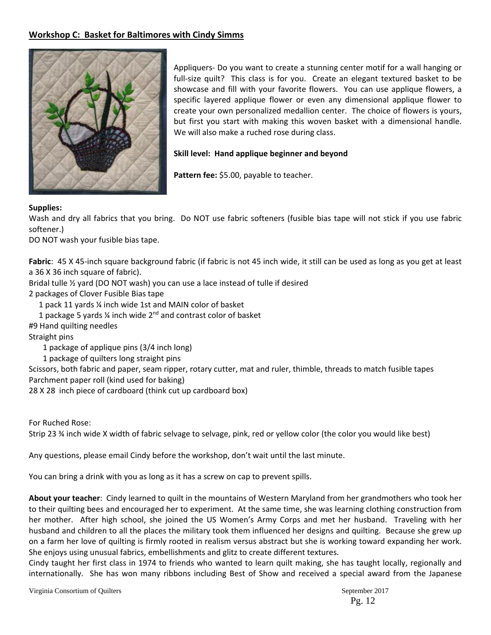#### **Workshop C: Basket for Baltimores with Cindy Simms**



Appliquers‐ Do you want to create a stunning center motif for a wall hanging or full-size quilt? This class is for you. Create an elegant textured basket to be showcase and fill with your favorite flowers. You can use applique flowers, a specific layered applique flower or even any dimensional applique flower to create your own personalized medallion center. The choice of flowers is yours, but first you start with making this woven basket with a dimensional handle. We will also make a ruched rose during class.

#### **Skill level: Hand applique beginner and beyond**

**Pattern fee:** \$5.00, payable to teacher.

#### **Supplies:**

Wash and dry all fabrics that you bring. Do NOT use fabric softeners (fusible bias tape will not stick if you use fabric softener.)

DO NOT wash your fusible bias tape.

Fabric: 45 X 45-inch square background fabric (if fabric is not 45 inch wide, it still can be used as long as you get at least a 36 X 36 inch square of fabric).

Bridal tulle ½ yard (DO NOT wash) you can use a lace instead of tulle if desired

2 packages of Clover Fusible Bias tape

1 pack 11 yards ¼ inch wide 1st and MAIN color of basket

1 package 5 yards  $\frac{1}{4}$  inch wide  $2^{nd}$  and contrast color of basket

#9 Hand quilting needles

Straight pins

1 package of applique pins (3/4 inch long)

1 package of quilters long straight pins

Scissors, both fabric and paper, seam ripper, rotary cutter, mat and ruler, thimble, threads to match fusible tapes Parchment paper roll (kind used for baking)

28 X 28 inch piece of cardboard (think cut up cardboard box)

For Ruched Rose:

Strip 23 ¾ inch wide X width of fabric selvage to selvage, pink, red or yellow color (the color you would like best)

Any questions, please email Cindy before the workshop, don't wait until the last minute.

You can bring a drink with you as long as it has a screw on cap to prevent spills.

**About your teacher**: Cindy learned to quilt in the mountains of Western Maryland from her grandmothers who took her to their quilting bees and encouraged her to experiment. At the same time, she was learning clothing construction from her mother. After high school, she joined the US Women's Army Corps and met her husband. Traveling with her husband and children to all the places the military took them influenced her designs and quilting. Because she grew up on a farm her love of quilting is firmly rooted in realism versus abstract but she is working toward expanding her work. She enjoys using unusual fabrics, embellishments and glitz to create different textures.

Cindy taught her first class in 1974 to friends who wanted to learn quilt making, she has taught locally, regionally and internationally. She has won many ribbons including Best of Show and received a special award from the Japanese

Virginia Consortium of Quilters  $\sim$  2017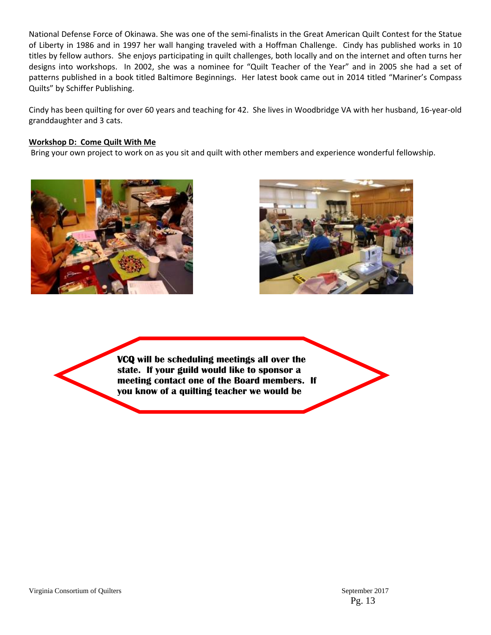National Defense Force of Okinawa. She was one of the semi‐finalists in the Great American Quilt Contest for the Statue of Liberty in 1986 and in 1997 her wall hanging traveled with a Hoffman Challenge. Cindy has published works in 10 titles by fellow authors. She enjoys participating in quilt challenges, both locally and on the internet and often turns her designs into workshops. In 2002, she was a nominee for "Quilt Teacher of the Year" and in 2005 she had a set of patterns published in a book titled Baltimore Beginnings. Her latest book came out in 2014 titled "Mariner's Compass Quilts" by Schiffer Publishing.

Cindy has been quilting for over 60 years and teaching for 42. She lives in Woodbridge VA with her husband, 16‐year‐old granddaughter and 3 cats.

#### **Workshop D: Come Quilt With Me**

Bring your own project to work on as you sit and quilt with other members and experience wonderful fellowship.





**VCQ will be scheduling meetings all over the state. If your guild would like to sponsor a meeting contact one of the Board members. If you know of a quilting teacher we would be**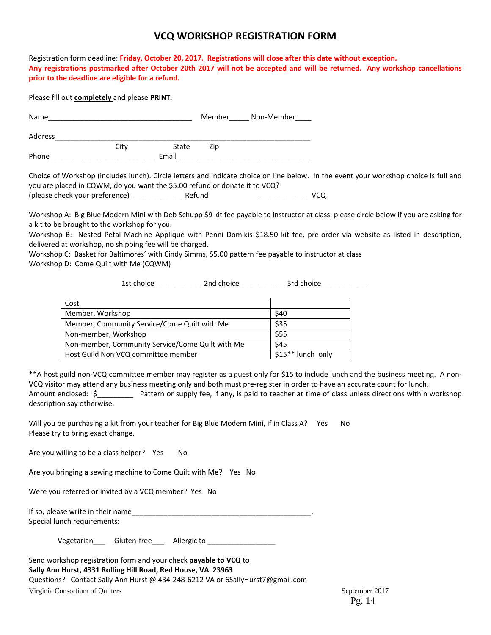#### **VCQ WORKSHOP REGISTRATION FORM**

Registration form deadline: **Friday, October 20, 2017.****Registrations will close after this date without exception.**  Any registrations postmarked after October 20th 2017 will not be accepted and will be returned. Any workshop cancellations **prior to the deadline are eligible for a refund.**

Please fill out **completely** and please **PRINT***.*

| Name    |      |       |     | Member______ Non-Member_____ |
|---------|------|-------|-----|------------------------------|
| Address |      |       |     |                              |
|         | City | State | Zip |                              |
| Phone   |      | Email |     |                              |

Choice of Workshop (includes lunch). Circle letters and indicate choice on line below. In the event your workshop choice is full and you are placed in CQWM, do you want the \$5.00 refund or donate it to VCQ? (please check your preference) \_\_\_\_\_\_\_\_\_\_\_\_\_Refund \_\_\_\_\_\_\_\_\_\_\_\_\_VCQ

Workshop A: Big Blue Modern Mini with Deb Schupp \$9 kit fee payable to instructor at class, please circle below if you are asking for a kit to be brought to the workshop for you.

Workshop B: Nested Petal Machine Applique with Penni Domikis \$18.50 kit fee, pre-order via website as listed in description, delivered at workshop, no shipping fee will be charged.

Workshop C: Basket for Baltimores' with Cindy Simms, \$5.00 pattern fee payable to instructor at class Workshop D: Come Quilt with Me (CQWM)

1st choice\_\_\_\_\_\_\_\_\_\_\_\_ 2nd choice\_\_\_\_\_\_\_\_\_\_\_\_3rd choice\_\_\_\_\_\_\_\_\_\_\_\_

| Cost                                             |                    |
|--------------------------------------------------|--------------------|
| Member, Workshop                                 | \$40               |
| Member, Community Service/Come Quilt with Me     | \$35               |
| Non-member, Workshop                             | \$55               |
| Non-member, Community Service/Come Quilt with Me | \$45               |
| Host Guild Non VCQ committee member              | $$15**$ lunch only |

\*\*A host guild non‐VCQ committee member may register as a guest only for \$15 to include lunch and the business meeting. A non‐ VCQ visitor may attend any business meeting only and both must pre‐register in order to have an accurate count for lunch. Amount enclosed: \$ Pattern or supply fee, if any, is paid to teacher at time of class unless directions within workshop description say otherwise.

Will you be purchasing a kit from your teacher for Big Blue Modern Mini, if in Class A? Yes No Please try to bring exact change.

Are you willing to be a class helper? Yes No

Are you bringing a sewing machine to Come Quilt with Me? Yes No

Were you referred or invited by a VCQ member? Yes No

| If so, please write in their name |  |
|-----------------------------------|--|
| Special lunch requirements:       |  |

Vegetarian\_\_\_ Gluten-free\_\_\_ Allergic to \_\_\_\_\_\_\_\_\_\_\_\_\_\_\_\_\_\_

| Send workshop registration form and your check <b>payable to VCQ</b> to        |
|--------------------------------------------------------------------------------|
| Sally Ann Hurst, 4331 Rolling Hill Road, Red House, VA 23963                   |
| Questions? Contact Sally Ann Hurst @ 434-248-6212 VA or 6SallyHurst7@gmail.com |
| Virginia Consortium of Quilters                                                |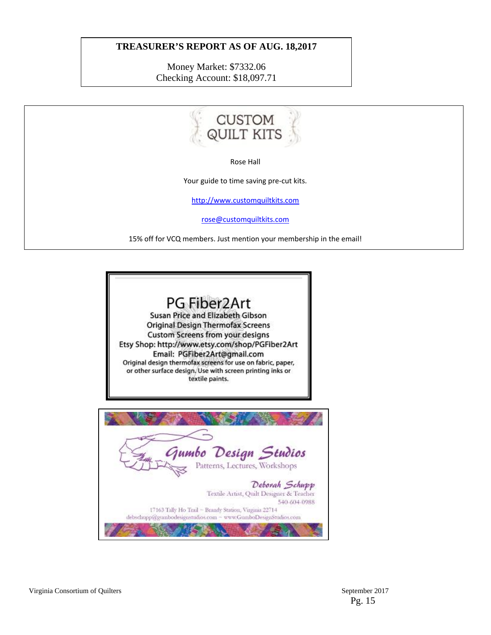#### **TREASURER'S REPORT AS OF AUG. 18,2017**

Money Market: \$7332.06 Checking Account: \$18,097.71







Virginia Consortium of Quilters September 2017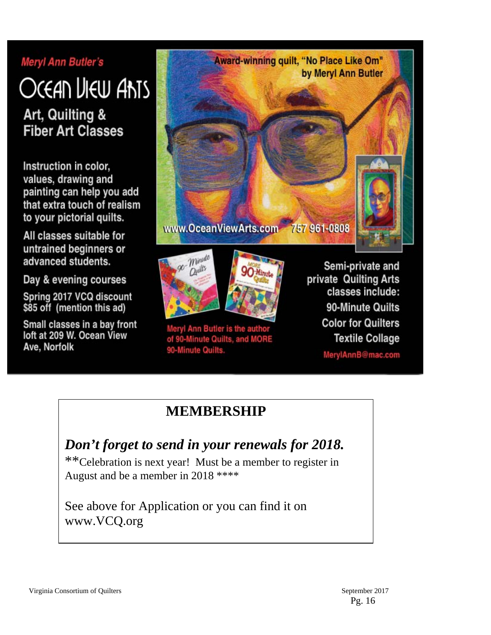# **Meryl Ann Butler's**

# Ocean Liew Ants

Art, Quilting & **Fiber Art Classes** 

Instruction in color, values, drawing and painting can help you add that extra touch of realism to your pictorial quilts.

All classes suitable for untrained beginners or advanced students.

Day & evening courses

Spring 2017 VCQ discount \$85 off (mention this ad)

Small classes in a bay front loft at 209 W. Ocean View Ave, Norfolk





Meryl Ann Butler is the author of 90-Minute Quilts, and MORE 90-Minute Quilts.

**30 Minute** 

Semi-private and private Quilting Arts classes include: 90-Minute Quilts **Color for Quilters Textile Collage** MerylAnnB@mac.com

# **MEMBERSHIP**

# *Don't forget to send in your renewals for 2018.*

\*\*Celebration is next year! Must be a member to register in August and be a member in 2018 \*\*\*\*

See above for Application or you can find it on www.VCQ.org